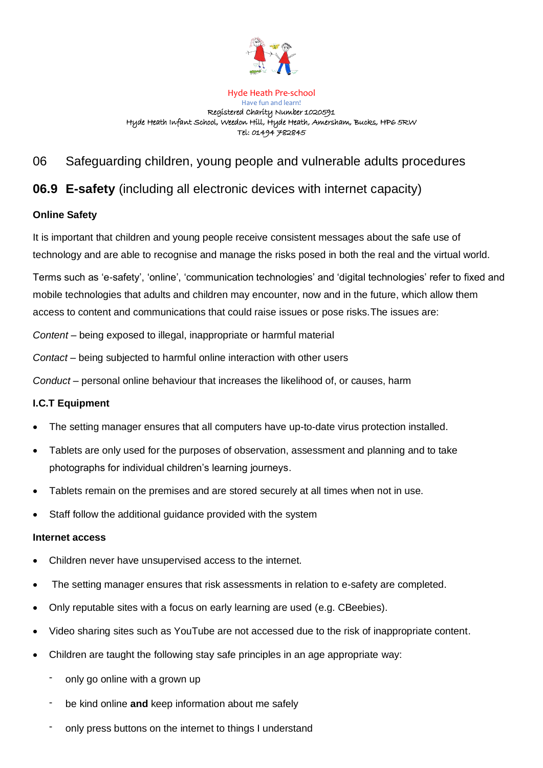

#### Hyde Heath Pre-school

Have fun and learn! Registered Charity Number 1020591 Hyde Heath Infant School, Weedon Hill, Hyde Heath, Amersham, Bucks, HP6 5RW Tel: 01494 782845

# 06 Safeguarding children, young people and vulnerable adults procedures

# **06.9 E-safety** (including all electronic devices with internet capacity)

## **Online Safety**

It is important that children and young people receive consistent messages about the safe use of technology and are able to recognise and manage the risks posed in both the real and the virtual world.

Terms such as 'e-safety', 'online', 'communication technologies' and 'digital technologies' refer to fixed and mobile technologies that adults and children may encounter, now and in the future, which allow them access to content and communications that could raise issues or pose risks.The issues are:

*Content* – being exposed to illegal, inappropriate or harmful material

*Contact* – being subjected to harmful online interaction with other users

*Conduct* – personal online behaviour that increases the likelihood of, or causes, harm

## **I.C.T Equipment**

- The setting manager ensures that all computers have up-to-date virus protection installed.
- Tablets are only used for the purposes of observation, assessment and planning and to take photographs for individual children's learning journeys.
- Tablets remain on the premises and are stored securely at all times when not in use.
- Staff follow the additional guidance provided with the system

## **Internet access**

- Children never have unsupervised access to the internet.
- The setting manager ensures that risk assessments in relation to e-safety are completed.
- Only reputable sites with a focus on early learning are used (e.g. CBeebies).
- Video sharing sites such as YouTube are not accessed due to the risk of inappropriate content.
- Children are taught the following stay safe principles in an age appropriate way:
	- only go online with a grown up
	- be kind online **and** keep information about me safely
	- only press buttons on the internet to things I understand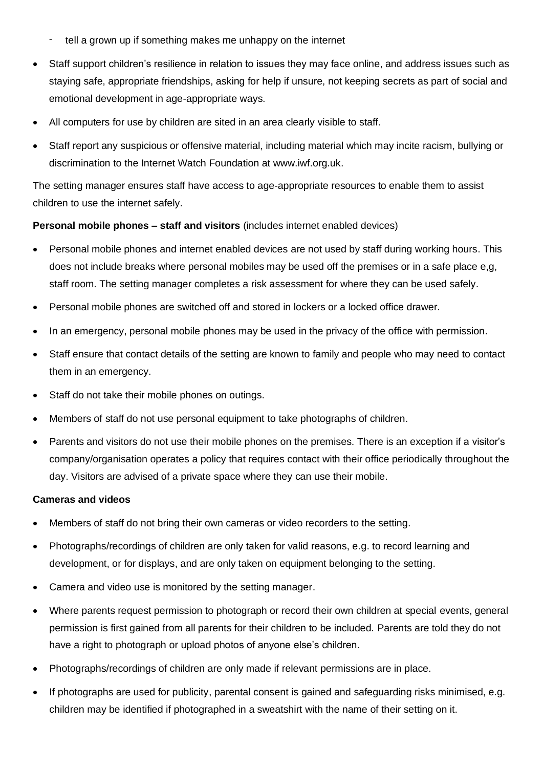- tell a grown up if something makes me unhappy on the internet
- Staff support children's resilience in relation to issues they may face online, and address issues such as staying safe, appropriate friendships, asking for help if unsure, not keeping secrets as part of social and emotional development in age-appropriate ways.
- All computers for use by children are sited in an area clearly visible to staff.
- Staff report any suspicious or offensive material, including material which may incite racism, bullying or discrimination to the Internet Watch Foundation at [www.iwf.org.uk.](http://www.iwf.org.uk/)

The setting manager ensures staff have access to age-appropriate resources to enable them to assist children to use the internet safely.

#### **Personal mobile phones – staff and visitors** (includes internet enabled devices)

- Personal mobile phones and internet enabled devices are not used by staff during working hours. This does not include breaks where personal mobiles may be used off the premises or in a safe place e,g, staff room. The setting manager completes a risk assessment for where they can be used safely.
- Personal mobile phones are switched off and stored in lockers or a locked office drawer.
- In an emergency, personal mobile phones may be used in the privacy of the office with permission.
- Staff ensure that contact details of the setting are known to family and people who may need to contact them in an emergency.
- Staff do not take their mobile phones on outings.
- Members of staff do not use personal equipment to take photographs of children.
- Parents and visitors do not use their mobile phones on the premises. There is an exception if a visitor's company/organisation operates a policy that requires contact with their office periodically throughout the day. Visitors are advised of a private space where they can use their mobile.

#### **Cameras and videos**

- Members of staff do not bring their own cameras or video recorders to the setting.
- Photographs/recordings of children are only taken for valid reasons, e.g. to record learning and development, or for displays, and are only taken on equipment belonging to the setting.
- Camera and video use is monitored by the setting manager.
- Where parents request permission to photograph or record their own children at special events, general permission is first gained from all parents for their children to be included. Parents are told they do not have a right to photograph or upload photos of anyone else's children.
- Photographs/recordings of children are only made if relevant permissions are in place.
- If photographs are used for publicity, parental consent is gained and safeguarding risks minimised, e.g. children may be identified if photographed in a sweatshirt with the name of their setting on it.